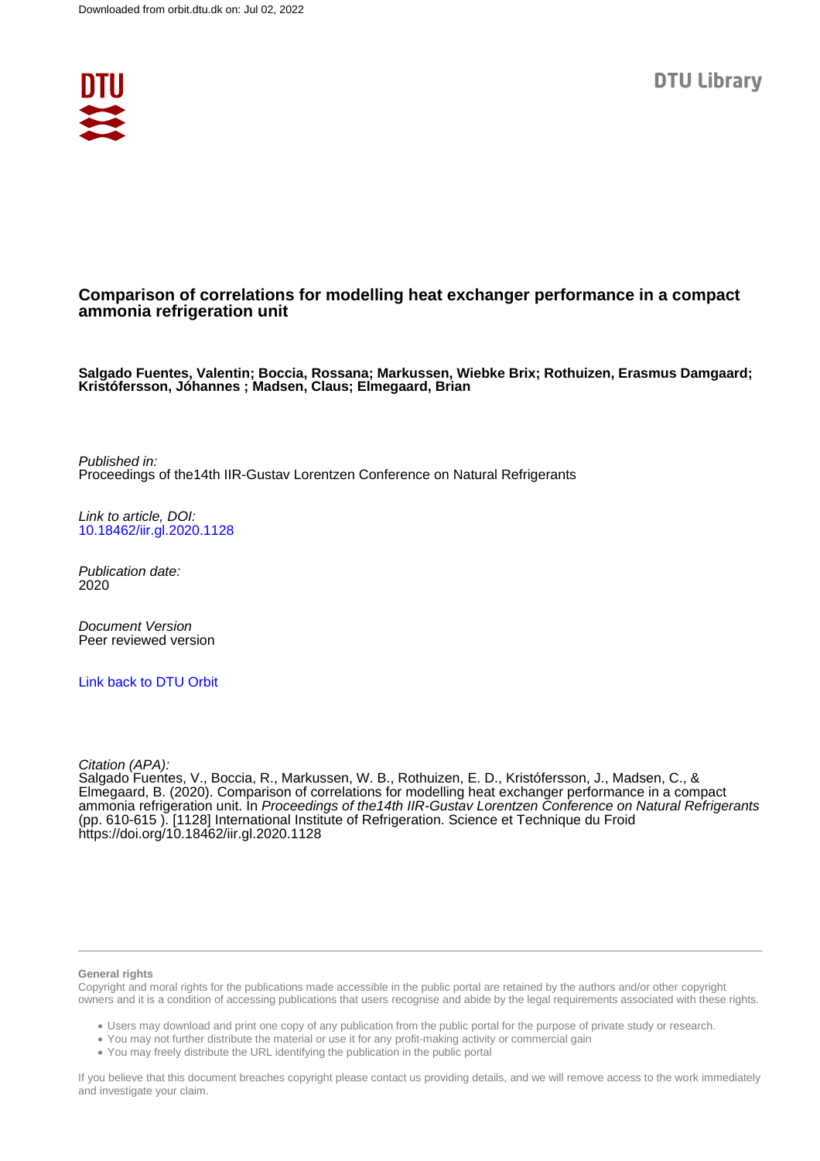

### **Comparison of correlations for modelling heat exchanger performance in a compact ammonia refrigeration unit**

**Salgado Fuentes, Valentin; Boccia, Rossana; Markussen, Wiebke Brix; Rothuizen, Erasmus Damgaard; Kristófersson, Jóhannes ; Madsen, Claus; Elmegaard, Brian**

Published in: Proceedings of the14th IIR-Gustav Lorentzen Conference on Natural Refrigerants

Link to article, DOI: [10.18462/iir.gl.2020.1128](https://doi.org/10.18462/iir.gl.2020.1128)

Publication date: 2020

Document Version Peer reviewed version

[Link back to DTU Orbit](https://orbit.dtu.dk/en/publications/394b7ba0-67ab-4c4d-ba1e-85fcec533417)

Citation (APA):

Salgado Fuentes, V., Boccia, R., Markussen, W. B., Rothuizen, E. D., Kristófersson, J., Madsen, C., & Elmegaard, B. (2020). Comparison of correlations for modelling heat exchanger performance in a compact ammonia refrigeration unit. In Proceedings of the14th IIR-Gustav Lorentzen Conference on Natural Refrigerants (pp. 610-615 ). [1128] International Institute of Refrigeration. Science et Technique du Froid <https://doi.org/10.18462/iir.gl.2020.1128>

#### **General rights**

Copyright and moral rights for the publications made accessible in the public portal are retained by the authors and/or other copyright owners and it is a condition of accessing publications that users recognise and abide by the legal requirements associated with these rights.

Users may download and print one copy of any publication from the public portal for the purpose of private study or research.

- You may not further distribute the material or use it for any profit-making activity or commercial gain
- You may freely distribute the URL identifying the publication in the public portal

If you believe that this document breaches copyright please contact us providing details, and we will remove access to the work immediately and investigate your claim.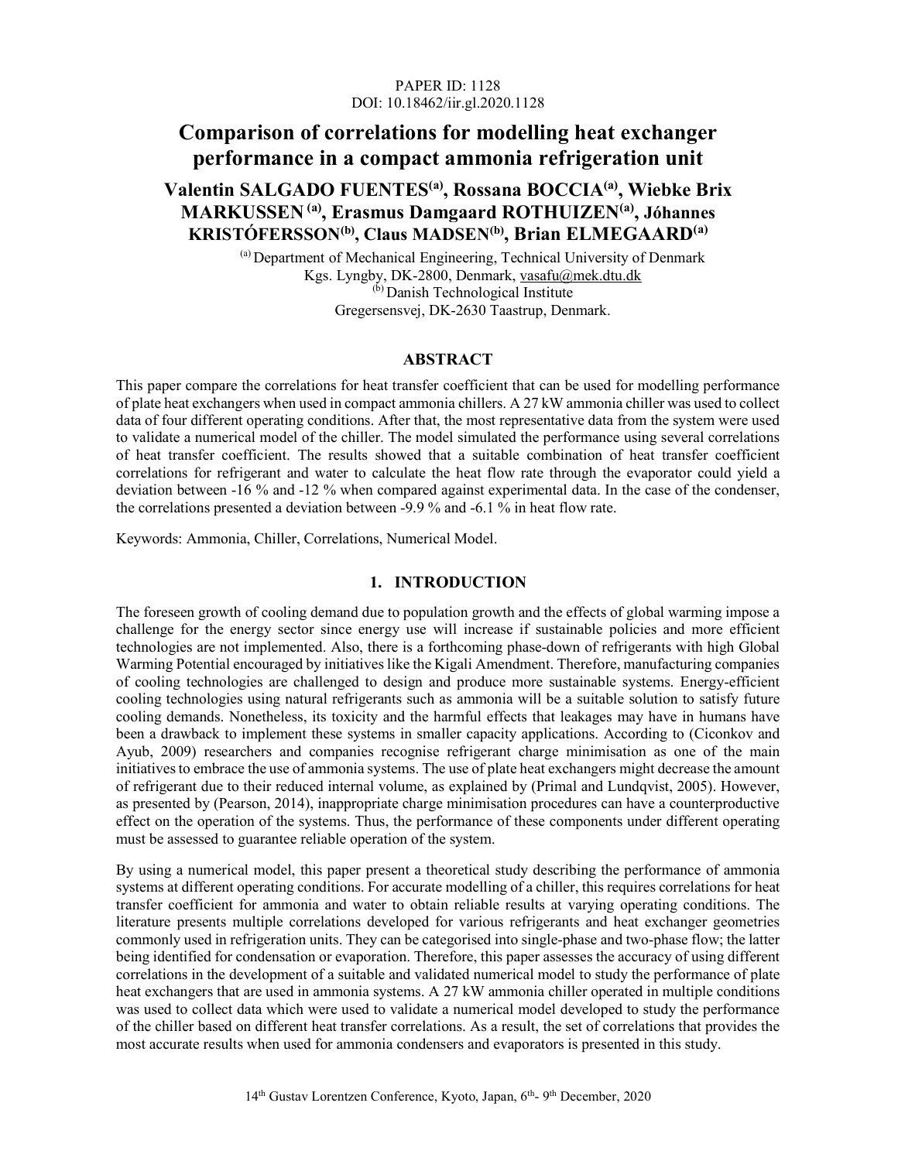#### PAPER ID: 1128 DOI: 10.18462/iir.gl.2020.1128

# Comparison of correlations for modelling heat exchanger performance in a compact ammonia refrigeration unit

## Valentin SALGADO FUENTES(a), Rossana BOCCIA(a), Wiebke Brix MARKUSSEN (a), Erasmus Damgaard ROTHUIZEN(a) , Jóhannes KRISTÓFERSSON(b), Claus MADSEN(b), Brian ELMEGAARD(a)

(a) Department of Mechanical Engineering, Technical University of Denmark Kgs. Lyngby, DK-2800, Denmark, vasafu@mek.dtu.dk (b) Danish Technological Institute Gregersensvej, DK-2630 Taastrup, Denmark.

#### ABSTRACT

This paper compare the correlations for heat transfer coefficient that can be used for modelling performance of plate heat exchangers when used in compact ammonia chillers. A 27 kW ammonia chiller was used to collect data of four different operating conditions. After that, the most representative data from the system were used to validate a numerical model of the chiller. The model simulated the performance using several correlations of heat transfer coefficient. The results showed that a suitable combination of heat transfer coefficient correlations for refrigerant and water to calculate the heat flow rate through the evaporator could yield a deviation between -16 % and -12 % when compared against experimental data. In the case of the condenser, the correlations presented a deviation between -9.9 % and -6.1 % in heat flow rate.

Keywords: Ammonia, Chiller, Correlations, Numerical Model.

#### 1. INTRODUCTION

The foreseen growth of cooling demand due to population growth and the effects of global warming impose a challenge for the energy sector since energy use will increase if sustainable policies and more efficient technologies are not implemented. Also, there is a forthcoming phase-down of refrigerants with high Global Warming Potential encouraged by initiatives like the Kigali Amendment. Therefore, manufacturing companies of cooling technologies are challenged to design and produce more sustainable systems. Energy-efficient cooling technologies using natural refrigerants such as ammonia will be a suitable solution to satisfy future cooling demands. Nonetheless, its toxicity and the harmful effects that leakages may have in humans have been a drawback to implement these systems in smaller capacity applications. According to (Ciconkov and Ayub, 2009) researchers and companies recognise refrigerant charge minimisation as one of the main initiatives to embrace the use of ammonia systems. The use of plate heat exchangers might decrease the amount of refrigerant due to their reduced internal volume, as explained by (Primal and Lundqvist, 2005). However, as presented by (Pearson, 2014), inappropriate charge minimisation procedures can have a counterproductive effect on the operation of the systems. Thus, the performance of these components under different operating must be assessed to guarantee reliable operation of the system.

By using a numerical model, this paper present a theoretical study describing the performance of ammonia systems at different operating conditions. For accurate modelling of a chiller, this requires correlations for heat transfer coefficient for ammonia and water to obtain reliable results at varying operating conditions. The literature presents multiple correlations developed for various refrigerants and heat exchanger geometries commonly used in refrigeration units. They can be categorised into single-phase and two-phase flow; the latter being identified for condensation or evaporation. Therefore, this paper assesses the accuracy of using different correlations in the development of a suitable and validated numerical model to study the performance of plate heat exchangers that are used in ammonia systems. A 27 kW ammonia chiller operated in multiple conditions was used to collect data which were used to validate a numerical model developed to study the performance of the chiller based on different heat transfer correlations. As a result, the set of correlations that provides the most accurate results when used for ammonia condensers and evaporators is presented in this study.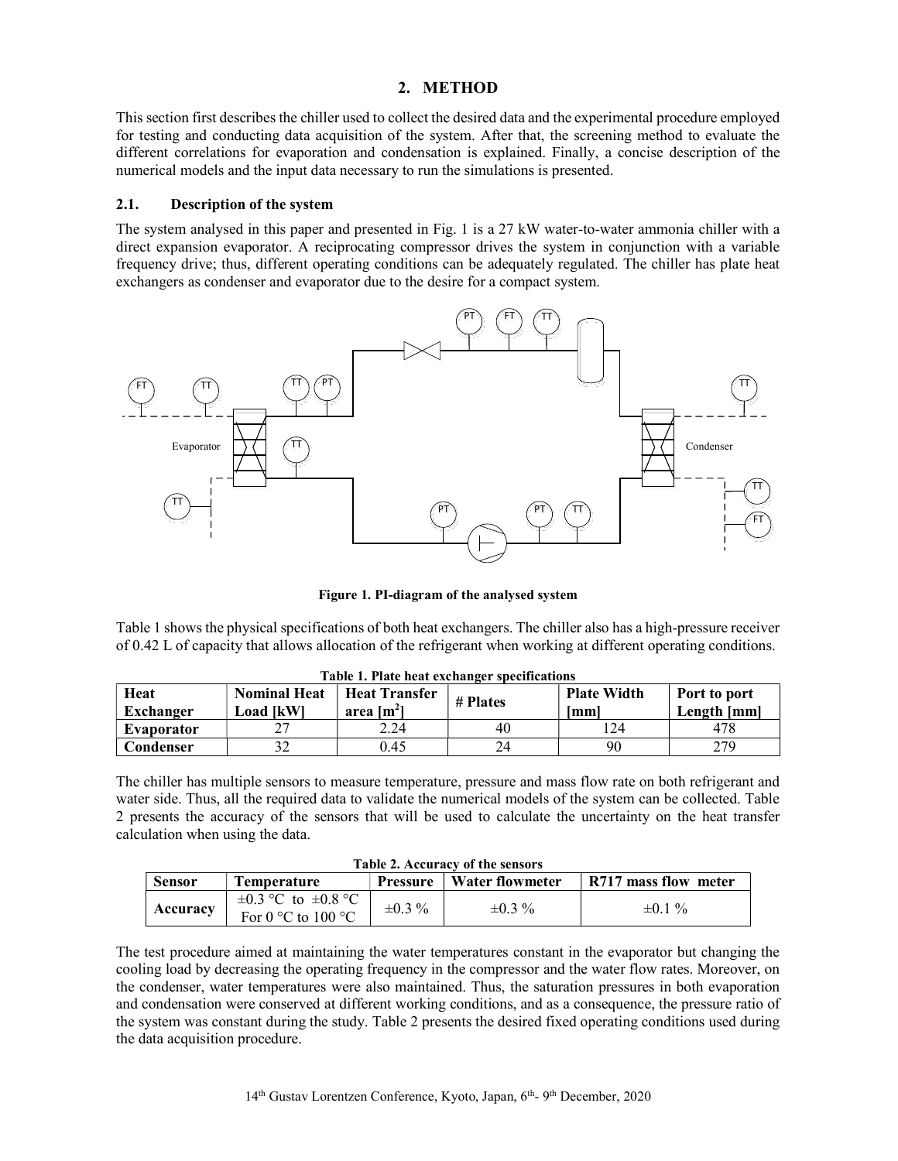### 2. METHOD

This section first describes the chiller used to collect the desired data and the experimental procedure employed for testing and conducting data acquisition of the system. After that, the screening method to evaluate the different correlations for evaporation and condensation is explained. Finally, a concise description of the numerical models and the input data necessary to run the simulations is presented.

#### 2.1. Description of the system

The system analysed in this paper and presented in Fig. 1 is a 27 kW water-to-water ammonia chiller with a direct expansion evaporator. A reciprocating compressor drives the system in conjunction with a variable frequency drive; thus, different operating conditions can be adequately regulated. The chiller has plate heat exchangers as condenser and evaporator due to the desire for a compact system.



Figure 1. PI-diagram of the analysed system

Table 1 shows the physical specifications of both heat exchangers. The chiller also has a high-pressure receiver of 0.42 L of capacity that allows allocation of the refrigerant when working at different operating conditions.

| Heat<br>Exchanger | <b>Nominal Heat</b><br><b>Load [kW]</b> | <b>Heat Transfer</b><br>area $[m2]$ | # Plates | <b>Plate Width</b><br>Imml | Port to port<br>Length [mm] |
|-------------------|-----------------------------------------|-------------------------------------|----------|----------------------------|-----------------------------|
| Evaporator        | ^~<br>∼                                 | 2.24                                | 40       | l 24                       | 478                         |
| Condenser         | n n                                     | 0.45                                | 24       | 90                         | 279                         |

Table 1. Plate heat exchanger specifications

The chiller has multiple sensors to measure temperature, pressure and mass flow rate on both refrigerant and water side. Thus, all the required data to validate the numerical models of the system can be collected. Table 2 presents the accuracy of the sensors that will be used to calculate the uncertainty on the heat transfer calculation when using the data.

| Table 2. Accuracy of the sensors |                                                                      |              |                                   |                      |  |  |  |
|----------------------------------|----------------------------------------------------------------------|--------------|-----------------------------------|----------------------|--|--|--|
| <b>Sensor</b>                    | Temperature                                                          |              | <b>Pressure</b>   Water flowmeter | R717 mass flow meter |  |  |  |
| Accuracy                         | $\pm 0.3$ °C to $\pm 0.8$ °C<br>For $0^{\circ}$ C to $100^{\circ}$ C | $\pm 0.3 \%$ | $\pm 0.3 \%$                      | $\pm 0.1 \%$         |  |  |  |

 $T_{\rm eff}$  and  $\sigma$ . Accuracy of the sensors

The test procedure aimed at maintaining the water temperatures constant in the evaporator but changing the cooling load by decreasing the operating frequency in the compressor and the water flow rates. Moreover, on the condenser, water temperatures were also maintained. Thus, the saturation pressures in both evaporation and condensation were conserved at different working conditions, and as a consequence, the pressure ratio of the system was constant during the study. Table 2 presents the desired fixed operating conditions used during the data acquisition procedure.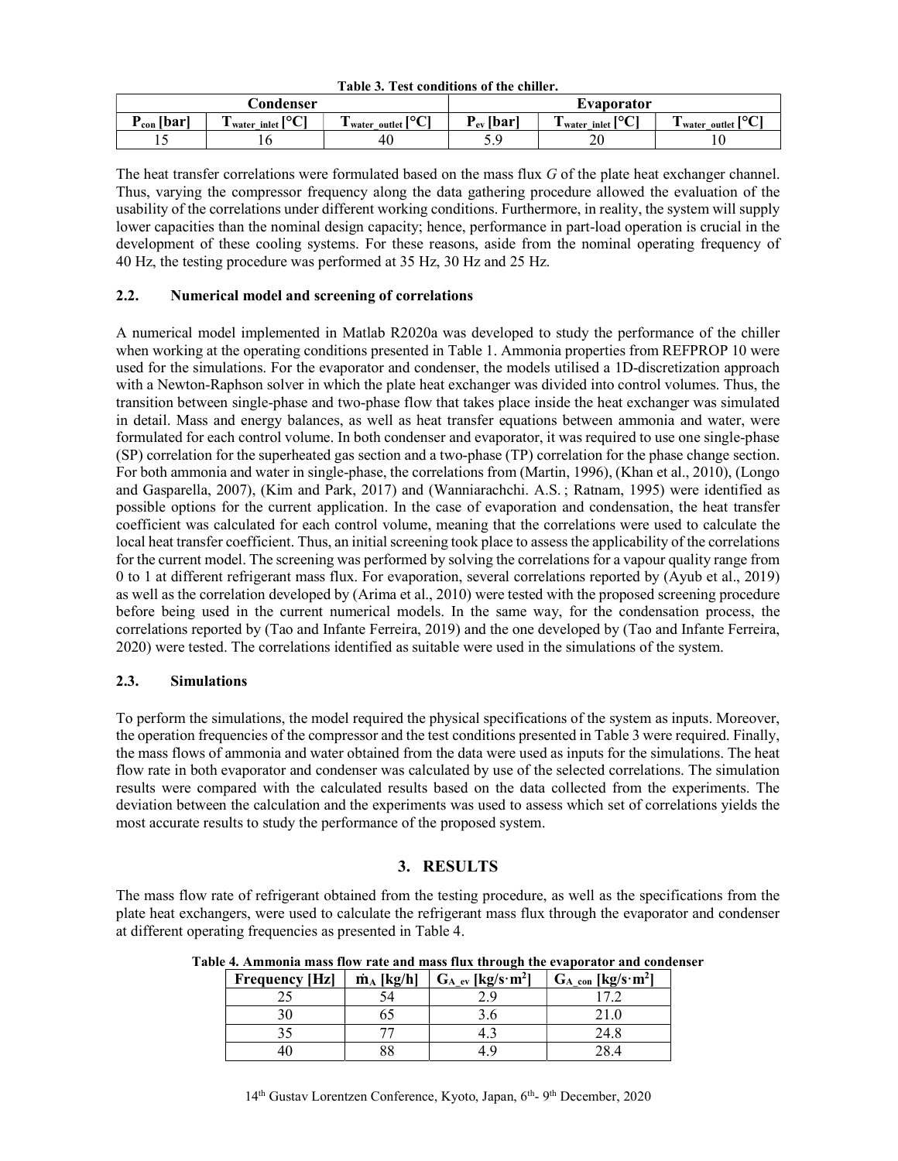| таріс от тем сопаннопо от ніс спінсіт |                                   |                                |                    |                          |                |  |  |
|---------------------------------------|-----------------------------------|--------------------------------|--------------------|--------------------------|----------------|--|--|
|                                       | <b>Condenser</b>                  |                                | Evaporator         |                          |                |  |  |
| $P_{con}$ [bar <sup>1</sup>           | וסרו<br>m<br>I water inlet '<br>◡ | ורזסו<br>l water outlet l<br>◡ | $P_{\rm ev}$ [bar' | וסרו<br>water inlet<br>◡ | L water outlet |  |  |
| . .                                   | ιv                                | 40                             | J . J              | ገቦ<br>ZU                 | 10             |  |  |

Table 3. Test conditions of the chiller.

The heat transfer correlations were formulated based on the mass flux G of the plate heat exchanger channel. Thus, varying the compressor frequency along the data gathering procedure allowed the evaluation of the usability of the correlations under different working conditions. Furthermore, in reality, the system will supply lower capacities than the nominal design capacity; hence, performance in part-load operation is crucial in the development of these cooling systems. For these reasons, aside from the nominal operating frequency of 40 Hz, the testing procedure was performed at 35 Hz, 30 Hz and 25 Hz.

#### 2.2. Numerical model and screening of correlations

A numerical model implemented in Matlab R2020a was developed to study the performance of the chiller when working at the operating conditions presented in Table 1. Ammonia properties from REFPROP 10 were used for the simulations. For the evaporator and condenser, the models utilised a 1D-discretization approach with a Newton-Raphson solver in which the plate heat exchanger was divided into control volumes. Thus, the transition between single-phase and two-phase flow that takes place inside the heat exchanger was simulated in detail. Mass and energy balances, as well as heat transfer equations between ammonia and water, were formulated for each control volume. In both condenser and evaporator, it was required to use one single-phase (SP) correlation for the superheated gas section and a two-phase (TP) correlation for the phase change section. For both ammonia and water in single-phase, the correlations from (Martin, 1996), (Khan et al., 2010), (Longo and Gasparella, 2007), (Kim and Park, 2017) and (Wanniarachchi. A.S. ; Ratnam, 1995) were identified as possible options for the current application. In the case of evaporation and condensation, the heat transfer coefficient was calculated for each control volume, meaning that the correlations were used to calculate the local heat transfer coefficient. Thus, an initial screening took place to assess the applicability of the correlations for the current model. The screening was performed by solving the correlations for a vapour quality range from 0 to 1 at different refrigerant mass flux. For evaporation, several correlations reported by (Ayub et al., 2019) as well as the correlation developed by (Arima et al., 2010) were tested with the proposed screening procedure before being used in the current numerical models. In the same way, for the condensation process, the correlations reported by (Tao and Infante Ferreira, 2019) and the one developed by (Tao and Infante Ferreira, 2020) were tested. The correlations identified as suitable were used in the simulations of the system.

#### 2.3. Simulations

To perform the simulations, the model required the physical specifications of the system as inputs. Moreover, the operation frequencies of the compressor and the test conditions presented in Table 3 were required. Finally, the mass flows of ammonia and water obtained from the data were used as inputs for the simulations. The heat flow rate in both evaporator and condenser was calculated by use of the selected correlations. The simulation results were compared with the calculated results based on the data collected from the experiments. The deviation between the calculation and the experiments was used to assess which set of correlations yields the most accurate results to study the performance of the proposed system.

#### 3. RESULTS

The mass flow rate of refrigerant obtained from the testing procedure, as well as the specifications from the plate heat exchangers, were used to calculate the refrigerant mass flux through the evaporator and condenser at different operating frequencies as presented in Table 4.

| <b>Frequency [Hz]</b> | $\dot{\mathbf{m}}_A$ [kg/h] | $G_A$ ev [kg/s·m <sup>2</sup> ] | $G_{A_{con}}$ [kg/s·m <sup>2</sup> ] |
|-----------------------|-----------------------------|---------------------------------|--------------------------------------|
|                       |                             |                                 |                                      |
|                       |                             |                                 |                                      |
|                       |                             | –…                              | 24.8                                 |
|                       |                             |                                 |                                      |

Table 4. Ammonia mass flow rate and mass flux through the evaporator and condenser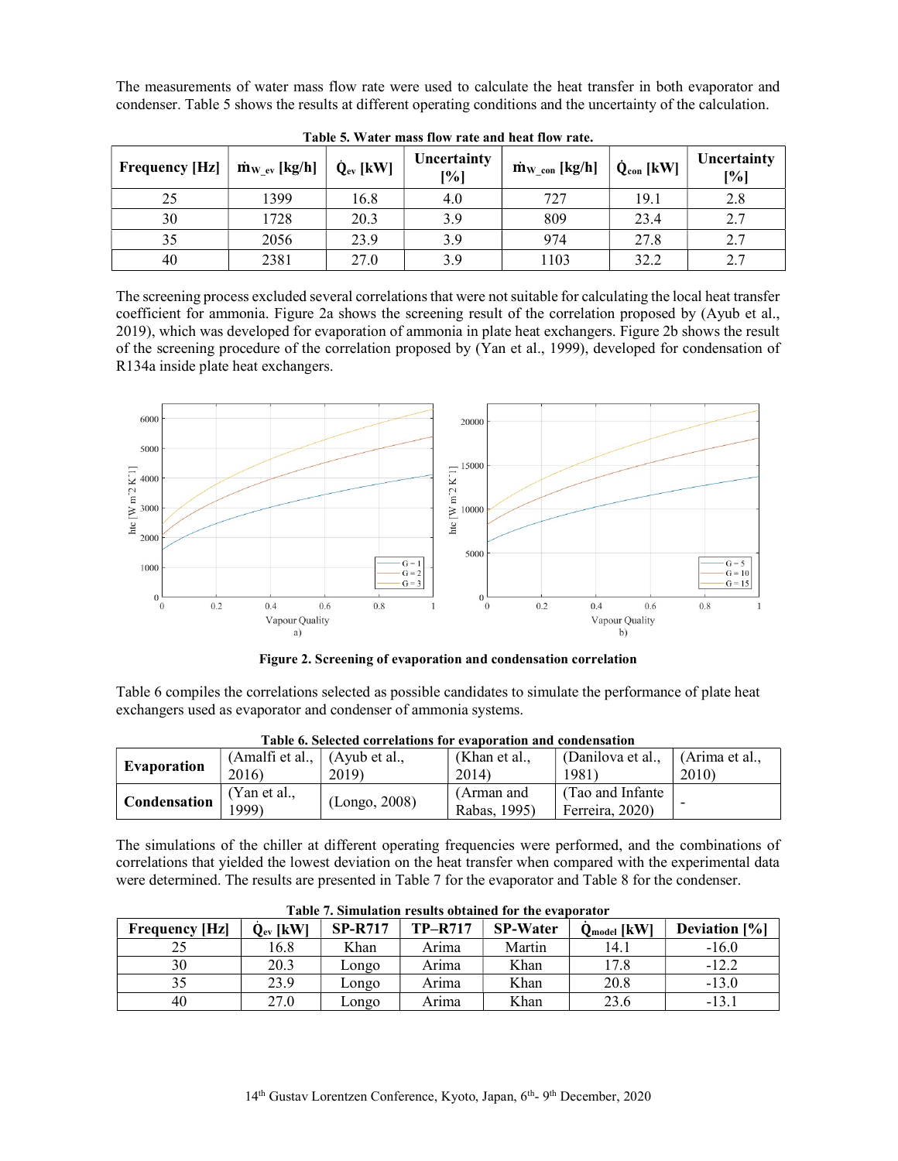The measurements of water mass flow rate were used to calculate the heat transfer in both evaporator and condenser. Table 5 shows the results at different operating conditions and the uncertainty of the calculation.

| <b>Frequency [Hz]</b> | $\dot{m}_{W_{ev}}$ [kg/h] | $\dot{\mathbf{Q}}_{ev}$ [kW] | Uncertainty<br>[%] | $\dot{m}_{W_{con}}$ [kg/h] | $\dot{\mathbf{Q}}_{con}$ [kW] | Uncertainty<br>[%] |
|-----------------------|---------------------------|------------------------------|--------------------|----------------------------|-------------------------------|--------------------|
| 25                    | 1399                      | 16.8                         | 4.0                | 727                        | 19.1                          | 2.8                |
| 30                    | 1728                      | 20.3                         | 3.9                | 809                        | 23.4                          | 2.7                |
| 35                    | 2056                      | 23.9                         | 3.9                | 974                        | 27.8                          | 2.7                |
| 40                    | 2381                      | 27.0                         | 3.9                | 1103                       | 32.2                          | 2.7                |

Table 5. Water mass flow rate and heat flow rate.

The screening process excluded several correlations that were not suitable for calculating the local heat transfer coefficient for ammonia. Figure 2a shows the screening result of the correlation proposed by (Ayub et al., 2019), which was developed for evaporation of ammonia in plate heat exchangers. Figure 2b shows the result of the screening procedure of the correlation proposed by (Yan et al., 1999), developed for condensation of R134a inside plate heat exchangers.



Figure 2. Screening of evaporation and condensation correlation

Table 6 compiles the correlations selected as possible candidates to simulate the performance of plate heat exchangers used as evaporator and condenser of ammonia systems.

| Table 0. Selected correlations for evaboration and condensation |                                       |               |                            |                                      |                |  |  |
|-----------------------------------------------------------------|---------------------------------------|---------------|----------------------------|--------------------------------------|----------------|--|--|
| <b>Evaporation</b>                                              | (Amalfi et al., $\vert$ (Ayub et al., |               | (Khan et al.,              | (Danilova et al.,                    | (Arima et al., |  |  |
|                                                                 | 2016)                                 | 2019)         | 2014)                      | 1981)                                | 2010)          |  |  |
| Condensation                                                    | (Yan et al.,<br>1999)                 | (Longo, 2008) | (Arman and<br>Rabas, 1995) | (Tao and Infante)<br>Ferreira, 2020) |                |  |  |

Table 6. Selected correlations for evaporation and condensation

The simulations of the chiller at different operating frequencies were performed, and the combinations of correlations that yielded the lowest deviation on the heat transfer when compared with the experimental data were determined. The results are presented in Table 7 for the evaporator and Table 8 for the condenser.

| Table 7. Shinuiaubh Tesuits bblainea ibi-the cyabbi atol |                                     |                |                |                 |                                        |                  |
|----------------------------------------------------------|-------------------------------------|----------------|----------------|-----------------|----------------------------------------|------------------|
| <b>Frequency [Hz]</b>                                    | $\dot{\mathbf{Q}}_{\text{ev}}$ [kW] | <b>SP-R717</b> | <b>TP-R717</b> | <b>SP-Water</b> | $\dot{\mathbf{Q}}_{\text{model}}$ [kW] | Deviation $[\%]$ |
|                                                          | 16.8                                | Khan           | Arima          | Martin          | 14.1                                   | $-16.0$          |
| 30                                                       | 20.3                                | Longo          | Arima          | Khan            | 17.8                                   |                  |
|                                                          | 23.9                                | Longo          | Arima          | Khan            | 20.8                                   | $-13.0$          |
| 40                                                       | 27.0                                | Longo          | Arima          | Khan            | 23.6                                   | $-13.1$          |

Table 7. Simulation results obtained for the evaporator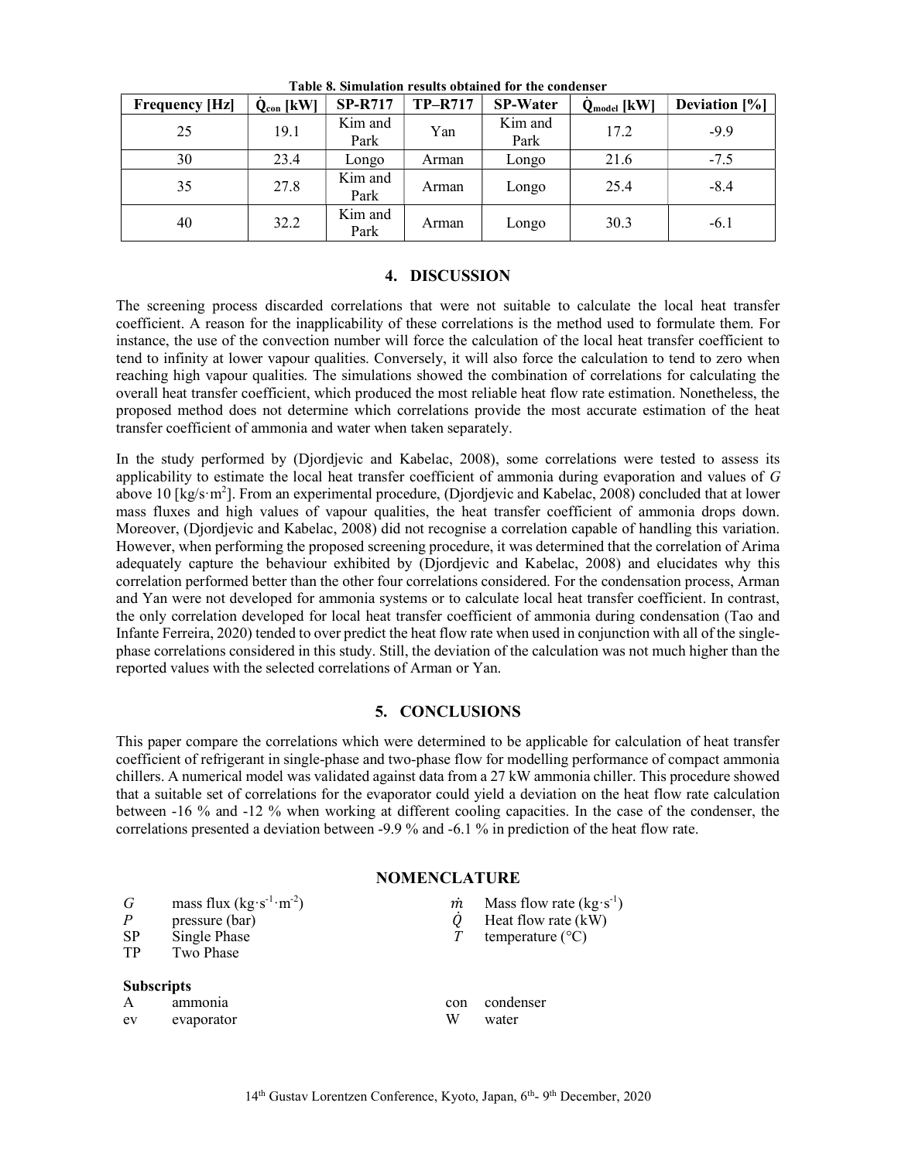| <b>Frequency [Hz]</b> | $Q_{con}$ [kW] | <b>SP-R717</b>  | <b>TP-R717</b> | <b>SP-Water</b> | $Q_{model}$ [kW] | <b>Deviation</b> [%] |
|-----------------------|----------------|-----------------|----------------|-----------------|------------------|----------------------|
| 25                    | 19.1           | Kim and<br>Park | Yan            | Kim and<br>Park | 17.2             | $-9.9$               |
| 30                    | 23.4           | Longo           | Arman          | Longo           | 21.6             | $-7.5$               |
| 35                    | 27.8           | Kim and<br>Park | Arman          | Longo           | 25.4             | $-8.4$               |
| 40                    | 32.2           | Kim and<br>Park | Arman          | Longo           | 30.3             | $-6.1$               |

Table 8. Simulation results obtained for the condenser

#### 4. DISCUSSION

The screening process discarded correlations that were not suitable to calculate the local heat transfer coefficient. A reason for the inapplicability of these correlations is the method used to formulate them. For instance, the use of the convection number will force the calculation of the local heat transfer coefficient to tend to infinity at lower vapour qualities. Conversely, it will also force the calculation to tend to zero when reaching high vapour qualities. The simulations showed the combination of correlations for calculating the overall heat transfer coefficient, which produced the most reliable heat flow rate estimation. Nonetheless, the proposed method does not determine which correlations provide the most accurate estimation of the heat transfer coefficient of ammonia and water when taken separately.

In the study performed by (Djordjevic and Kabelac, 2008), some correlations were tested to assess its applicability to estimate the local heat transfer coefficient of ammonia during evaporation and values of G above 10 [kg/s·m<sup>2</sup>]. From an experimental procedure, (Djordjevic and Kabelac, 2008) concluded that at lower mass fluxes and high values of vapour qualities, the heat transfer coefficient of ammonia drops down. Moreover, (Djordjevic and Kabelac, 2008) did not recognise a correlation capable of handling this variation. However, when performing the proposed screening procedure, it was determined that the correlation of Arima adequately capture the behaviour exhibited by (Djordjevic and Kabelac, 2008) and elucidates why this correlation performed better than the other four correlations considered. For the condensation process, Arman and Yan were not developed for ammonia systems or to calculate local heat transfer coefficient. In contrast, the only correlation developed for local heat transfer coefficient of ammonia during condensation (Tao and Infante Ferreira, 2020) tended to over predict the heat flow rate when used in conjunction with all of the singlephase correlations considered in this study. Still, the deviation of the calculation was not much higher than the reported values with the selected correlations of Arman or Yan.

#### 5. CONCLUSIONS

This paper compare the correlations which were determined to be applicable for calculation of heat transfer coefficient of refrigerant in single-phase and two-phase flow for modelling performance of compact ammonia chillers. A numerical model was validated against data from a 27 kW ammonia chiller. This procedure showed that a suitable set of correlations for the evaporator could yield a deviation on the heat flow rate calculation between -16 % and -12 % when working at different cooling capacities. In the case of the condenser, the correlations presented a deviation between -9.9 % and -6.1 % in prediction of the heat flow rate.

#### NOMENCLATURE

| G<br>$\overline{P}$<br><b>SP</b><br>TP | mass flux $(kg·s-1·m-2)$<br>pressure (bar)<br>Single Phase<br>Two Phase | m   | Mass flow rate $(kg·s^{-1})$<br>Heat flow rate $(kW)$<br>temperature $(^{\circ}C)$ |
|----------------------------------------|-------------------------------------------------------------------------|-----|------------------------------------------------------------------------------------|
| <b>Subscripts</b>                      | ammonia                                                                 | con | condenser                                                                          |
| ev                                     | evaporator                                                              | W   | water                                                                              |